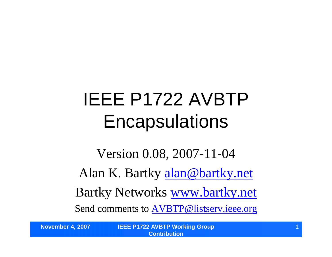# IEEE P1722 AVBTP **Encapsulations**

Version 0.08, 2007-11-04 Alan K. Bartky alan@bartky.net Bartky Networks www.bartky.net Send comments to **AVBTP@listserv.ieee.org**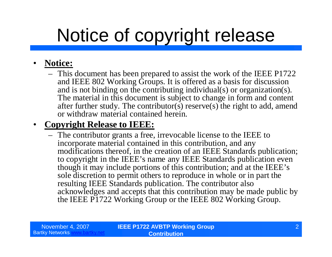# Notice of copyright release

#### • **Notice:**

– This document has been prepared to assist the work of the IEEE P1722 and IEEE 802 Working Groups. It is offered as a basis for discussion and is not binding on the contributing individual(s) or organization(s). The material in this document is subject to change in form and content after further study. The contributor(s) reserve(s) the right to add, amend or withdraw material contained herein.

#### • **Copyright Release to IEEE:**

– The contributor grants a free, irrevocable license to the IEEE to incorporate material contained in this contribution, and any modifications thereof, in the creation of an IEEE Standards publication; to copyright in the IEEE's name any IEEE Standards publication even though it may include portions of this contribution; and at the IEEE's sole discretion to permit others to reproduce in whole or in part the resulting IEEE Standards publication. The contributor also acknowledges and accepts that this contribution may be made public by the IEEE P1722 Working Group or the IEEE 802 Working Group.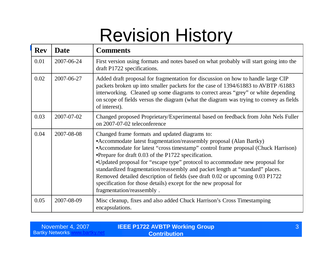### Revision History

| <b>Rev</b> | <b>Date</b> | <b>Comments</b>                                                                                                                                                                                                                                                                                                                                                                                                                                                                                                                                                                                                         |
|------------|-------------|-------------------------------------------------------------------------------------------------------------------------------------------------------------------------------------------------------------------------------------------------------------------------------------------------------------------------------------------------------------------------------------------------------------------------------------------------------------------------------------------------------------------------------------------------------------------------------------------------------------------------|
| 0.01       | 2007-06-24  | First version using formats and notes based on what probably will start going into the<br>draft P1722 specifications.                                                                                                                                                                                                                                                                                                                                                                                                                                                                                                   |
| 0.02       | 2007-06-27  | Added draft proposal for fragmentation for discussion on how to handle large CIP<br>packets broken up into smaller packets for the case of 1394/61883 to AVBTP /61883<br>interworking. Cleaned up some diagrams to correct areas "grey" or white depending<br>on scope of fields versus the diagram (what the diagram was trying to convey as fields<br>of interest).                                                                                                                                                                                                                                                   |
| 0.03       | 2007-07-02  | Changed proposed Proprietary/Experimental based on feedback from John Nels Fuller<br>on 2007-07-02 teleconference                                                                                                                                                                                                                                                                                                                                                                                                                                                                                                       |
| 0.04       | 2007-08-08  | Changed frame formats and updated diagrams to:<br>• Accommodate latest fragmentation/reassembly proposal (Alan Bartky)<br>• Accommodate for latest "cross timestamp" control frame proposal (Chuck Harrison)<br>•Prepare for draft 0.03 of the P1722 specification.<br>•Updated proposal for "escape type" protocol to accommodate new proposal for<br>standardized fragmentation/reassembly and packet length at "standard" places.<br>Removed detailed description of fields (see draft 0.02 or upcoming 0.03 P1722)<br>specification for those details) except for the new proposal for<br>fragmentation/reassembly. |
| 0.05       | 2007-08-09  | Misc cleanup, fixes and also added Chuck Harrison's Cross Timestamping<br>encapsulations.                                                                                                                                                                                                                                                                                                                                                                                                                                                                                                                               |

| November 4, 2007         | <b>IEEE P1722 AVBTP Working Group</b> |  |
|--------------------------|---------------------------------------|--|
| <b>Bartky Networks w</b> | <b>Contribution</b>                   |  |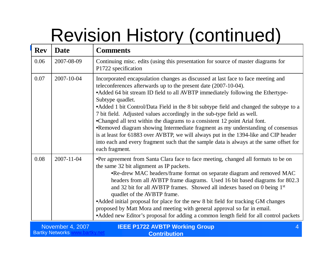# Revision History (continued)

| <b>Rev</b> | <b>Date</b>      | <b>Comments</b>                                                                                                                                                                                                                                                                                                                                                                                                                                                                                                                                                                                                                                                                                                                                                                                          |
|------------|------------------|----------------------------------------------------------------------------------------------------------------------------------------------------------------------------------------------------------------------------------------------------------------------------------------------------------------------------------------------------------------------------------------------------------------------------------------------------------------------------------------------------------------------------------------------------------------------------------------------------------------------------------------------------------------------------------------------------------------------------------------------------------------------------------------------------------|
| 0.06       | 2007-08-09       | Continuing misc. edits (using this presentation for source of master diagrams for<br>P1722 specification                                                                                                                                                                                                                                                                                                                                                                                                                                                                                                                                                                                                                                                                                                 |
| 0.07       | 2007-10-04       | Incorporated encapsulation changes as discussed at last face to face meeting and<br>teleconferences afterwards up to the present date (2007-10-04).<br>• Added 64 bit stream ID field to all AVBTP immediately following the Ethertype-<br>Subtype quadlet.<br>• Added 1 bit Control/Data Field in the 8 bit subtype field and changed the subtype to a<br>7 bit field. Adjusted values accordingly in the sub-type field as well.<br>•Changed all text within the diagrams to a consistent 12 point Arial font.<br>•Removed diagram showing Intermediate fragment as my understanding of consensus<br>is at least for 61883 over AVBTP, we will always put in the 1394-like and CIP header<br>into each and every fragment such that the sample data is always at the same offset for<br>each fragment. |
| 0.08       | $2007 - 11 - 04$ | •Per agreement from Santa Clara face to face meeting, changed all formats to be on<br>the same 32 bit alignment as IP packets.<br>•Re-drew MAC headers/frame format on separate diagram and removed MAC<br>headers from all AVBTP frame diagrams. Used 16 bit based diagrams for 802.3<br>and 32 bit for all AVBTP frames. Showed all indexes based on 0 being 1 <sup>st</sup><br>quadlet of the AVBTP frame.<br>• Added initial proposal for place for the new 8 bit field for tracking GM changes<br>proposed by Matt Mora and meeting with general approval so far in email.<br>• Added new Editor's proposal for adding a common length field for all control packets                                                                                                                                |
|            | November 4, 2007 | <b>IEEE P1722 AVBTP Working Group</b>                                                                                                                                                                                                                                                                                                                                                                                                                                                                                                                                                                                                                                                                                                                                                                    |

**Contribution**

**Bartky Networks www.bartky.net**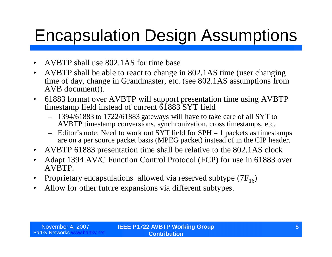### Encapsulation Design Assumptions

- AVBTP shall use 802.1AS for time base
- AVBTP shall be able to react to change in 802.1AS time (user changing time of day, change in Grandmaster, etc. (see 802.1AS assumptions from AVB document)).
- 61883 format over AVBTP will support presentation time using AVBTP timestamp field instead of current  $\overline{61883}$  SYT field
	- 1394/61883 to 1722/61883 gateways will have to take care of all SYT to AVBTP timestamp conversions, synchronization, cross timestamps, etc.
	- Editor's note: Need to work out SYT field for SPH = 1 packets as timestamps are on a per source packet basis (MPEG packet) instead of in the CIP header.
- AVBTP 61883 presentation time shall be relative to the 802.1AS clock
- Adapt 1394 AV/C Function Control Protocol (FCP) for use in 61883 over AVBTP.
- Proprietary encapsulations allowed via reserved subtype  $(7F_{16})$
- Allow for other future expansions via different subtypes.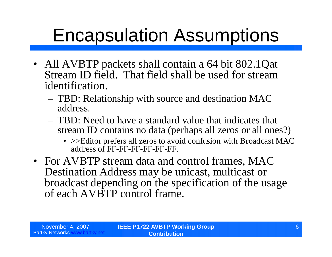# Encapsulation Assumptions

- All AVBTP packets shall contain a 64 bit 802.1Qat Stream ID field. That field shall be used for stream identification.
	- TBD: Relationship with source and destination MAC address.
	- TBD: Need to have a standard value that indicates that stream ID contains no data (perhaps all zeros or all ones?)
		- >>Editor prefers all zeros to avoid confusion with Broadcast MAC address of FF-FF-FF-FF-FF-FF.
- For AVBTP stream data and control frames, MAC Destination Address may be unicast, multicast or broadcast depending on the specification of the usage of each AVBTP control frame.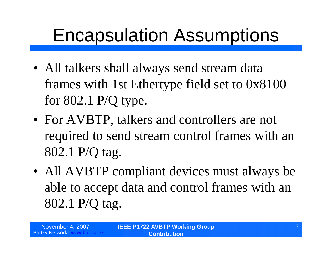## Encapsulation Assumptions

- All talkers shall always send stream data frames with 1st Ethertype field set to 0x8100 for 802.1 P/Q type.
- For AVBTP, talkers and controllers are not required to send stream control frames with an 802.1 P/Q tag.
- All AVBTP compliant devices must always be able to accept data and control frames with an 802.1 P/Q tag.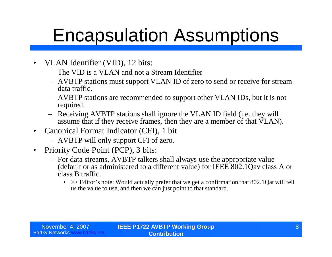### Encapsulation Assumptions

- VLAN Identifier (VID), 12 bits:
	- The VID is a VLAN and not a Stream Identifier
	- AVBTP stations must support VLAN ID of zero to send or receive for stream data traffic.
	- AVBTP stations are recommended to support other VLAN IDs, but it is not required.
	- Receiving AVBTP stations shall ignore the VLAN ID field (i.e. they will assume that if they receive frames, then they are a member of that VLAN).
- Canonical Format Indicator (CFI), 1 bit
	- AVBTP will only support CFI of zero.
- Priority Code Point (PCP), 3 bits:
	- For data streams, AVBTP talkers shall always use the appropriate value (default or as administered to a different value) for IEEE 802.1Qav class A or class B traffic.
		- $\gg$  Editor's note: Would actually prefer that we get a confirmation that 802.1Qat will tell us the value to use, and then we can just point to that standard.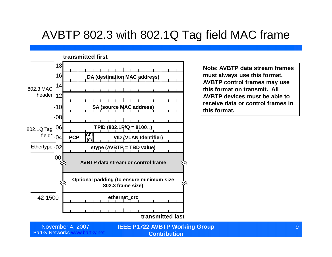#### AVBTP 802.3 with 802.1Q Tag field MAC frame



**Note: AVBTP data stream frames must always use this format. AVBTP control frames may use this format on transmit. All AVBTP devices must be able to receive data or control frames in this format.**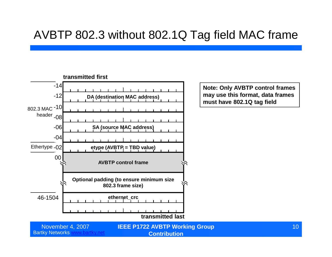#### AVBTP 802.3 without 802.1Q Tag field MAC frame

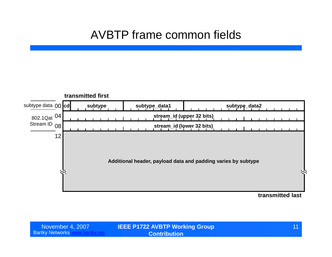### AVBTP frame common fields



| November 4, 2007         | <b>IEEE P1722 AVBTP Working Group</b> | 11 |
|--------------------------|---------------------------------------|----|
| <b>Bartky Networks w</b> | <b>Contribution</b> \                 |    |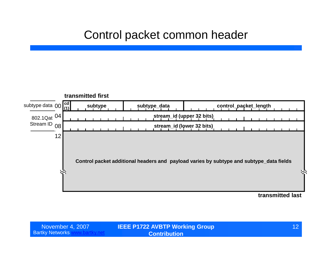### Control packet common header



| November 4, 2007          | <b>IEEE P1722 AVBTP Working Group</b> | 12 <sup>°</sup> |
|---------------------------|---------------------------------------|-----------------|
| <b>Bartky Networks WV</b> | <b>Contribution</b>                   |                 |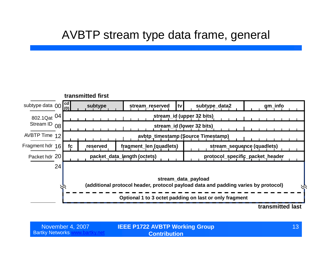#### AVBTP stream type data frame, general



| November 4, 2007      | <b>IEEE P1722 AVBTP Working Group</b> |  |
|-----------------------|---------------------------------------|--|
| tky Networks <u>v</u> | <b>Contribution</b>                   |  |

Bartky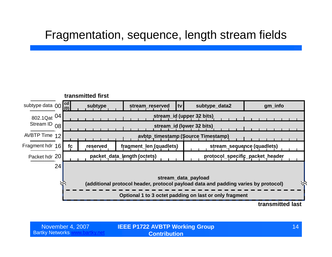#### Fragmentation, sequence, length stream fields



| November 4, 2007         | <b>IEEE P1722 AVBTP Working Group</b> | 14. |
|--------------------------|---------------------------------------|-----|
| <b>Bartky Networks w</b> | <b>Contribution</b>                   |     |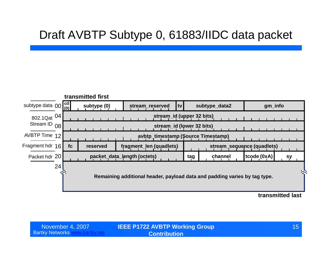#### Draft AVBTP Subtype 0, 61883/IIDC data packet



| November 4, 2007         | <b>IEEE P1722 AVBTP Working Group</b> |  |
|--------------------------|---------------------------------------|--|
| <b>Bartky Networks w</b> | <b>Contribution</b>                   |  |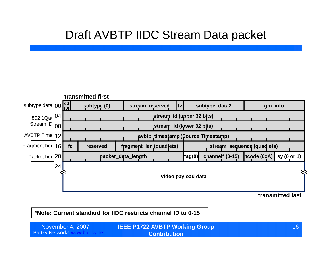#### Draft AVBTP IIDC Stream Data packet



**transmitted last**

**\*Note: Current standard for IIDC restricts channel ID to 0-15**

Bartky Networks www.bartky.net **IEEE P1722 AVBTP Working Group** November 4, 2007 16 **Contribution**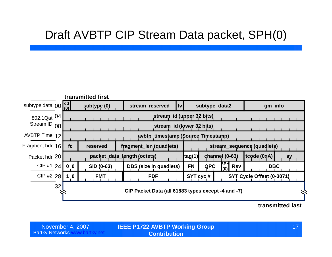#### Draft AVBTP CIP Stream Data packet, SPH(0)



| November 4, 2007       |  |
|------------------------|--|
| <b>Bartky Networks</b> |  |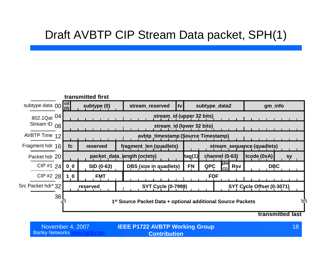#### Draft AVBTP CIP Stream Data packet, SPH(1)



**Bartky Networks www.bartky.net** 

**IEEE P1722 AVBTP Working Group** November 4, 2007 18 **Contribution**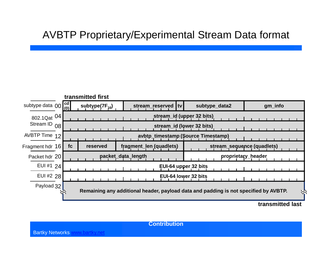#### AVBTP Proprietary/Experimental Stream Data format



**transmitted last**

**Contribution**

Bartky Networks www.bartky.net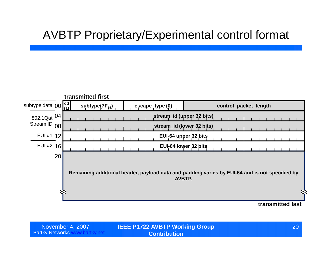### AVBTP Proprietary/Experimental control format



| November 4, 2007         | <b>IEEE P1722 AVBTP Working Group</b> | 20 |
|--------------------------|---------------------------------------|----|
| <b>Bartky Networks w</b> | <b>Contribution</b>                   |    |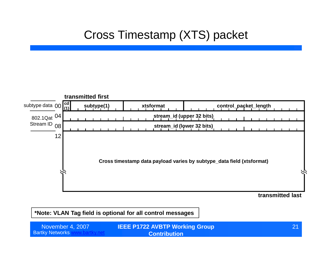### Cross Timestamp (XTS) packet



**transmitted last**

**\*Note: VLAN Tag field is optional for all control messages**

| November 4, 2007         | <b>IEEE P1722 AVBTP Working Group</b> | 21 |
|--------------------------|---------------------------------------|----|
| <b>Bartky Networks w</b> | <b>⊾Contribution</b> \                |    |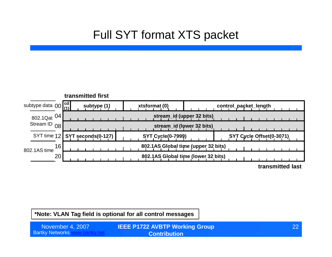#### Full SYT format XTS packet



| *Note: VLAN Tag field is optional for all control messages |  |  |  |  |
|------------------------------------------------------------|--|--|--|--|
|------------------------------------------------------------|--|--|--|--|

| November 4, 2007         | <b>IEEE P1722 AVBTP Working Group</b> | 22 |
|--------------------------|---------------------------------------|----|
| <b>Bartky Networks w</b> | <b>Contribution</b>                   |    |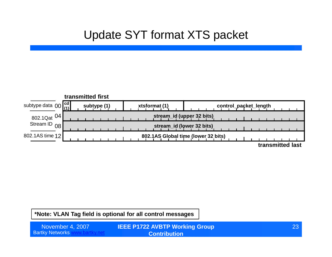#### Update SYT format XTS packet



**\*Note: VLAN Tag field is optional for all control messages**

Bartky Networks www.bartky.net

**IEEE P1722 AVBTP Working Group** November 4, 2007 23 **Contribution**